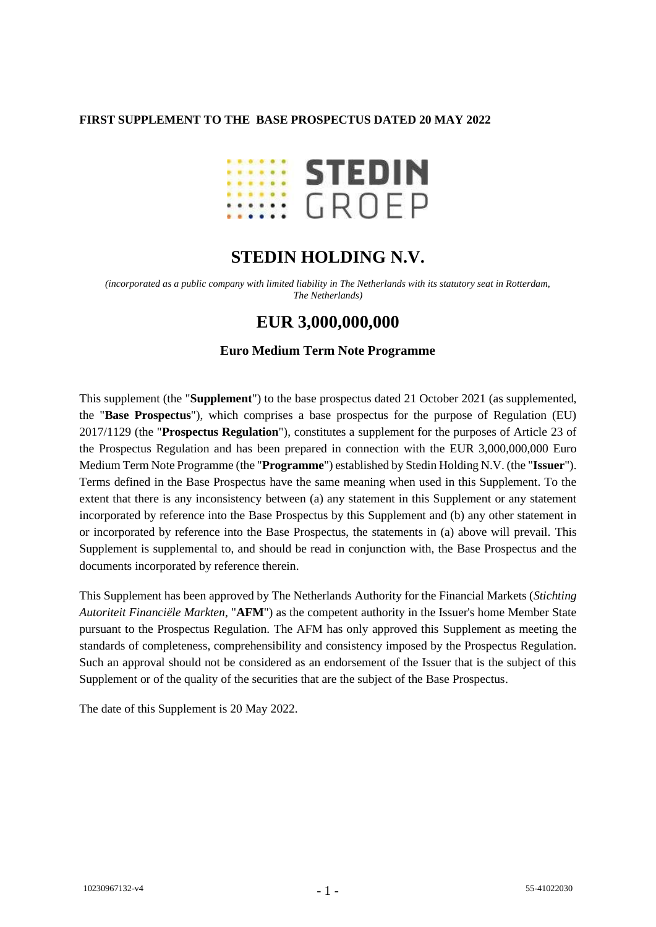### **FIRST SUPPLEMENT TO THE BASE PROSPECTUS DATED 20 MAY 2022**



# **STEDIN HOLDING N.V.**

*(incorporated as a public company with limited liability in The Netherlands with its statutory seat in Rotterdam, The Netherlands)*

## **EUR 3,000,000,000**

#### **Euro Medium Term Note Programme**

This supplement (the "**Supplement**") to the base prospectus dated 21 October 2021 (as supplemented, the "**Base Prospectus**"), which comprises a base prospectus for the purpose of Regulation (EU) 2017/1129 (the "**Prospectus Regulation**"), constitutes a supplement for the purposes of Article 23 of the Prospectus Regulation and has been prepared in connection with the EUR 3,000,000,000 Euro Medium Term Note Programme (the "**Programme**") established by Stedin Holding N.V. (the "**Issuer**"). Terms defined in the Base Prospectus have the same meaning when used in this Supplement. To the extent that there is any inconsistency between (a) any statement in this Supplement or any statement incorporated by reference into the Base Prospectus by this Supplement and (b) any other statement in or incorporated by reference into the Base Prospectus, the statements in (a) above will prevail. This Supplement is supplemental to, and should be read in conjunction with, the Base Prospectus and the documents incorporated by reference therein.

This Supplement has been approved by The Netherlands Authority for the Financial Markets (*Stichting Autoriteit Financiële Markten*, "**AFM**") as the competent authority in the Issuer's home Member State pursuant to the Prospectus Regulation. The AFM has only approved this Supplement as meeting the standards of completeness, comprehensibility and consistency imposed by the Prospectus Regulation. Such an approval should not be considered as an endorsement of the Issuer that is the subject of this Supplement or of the quality of the securities that are the subject of the Base Prospectus.

The date of this Supplement is 20 May 2022.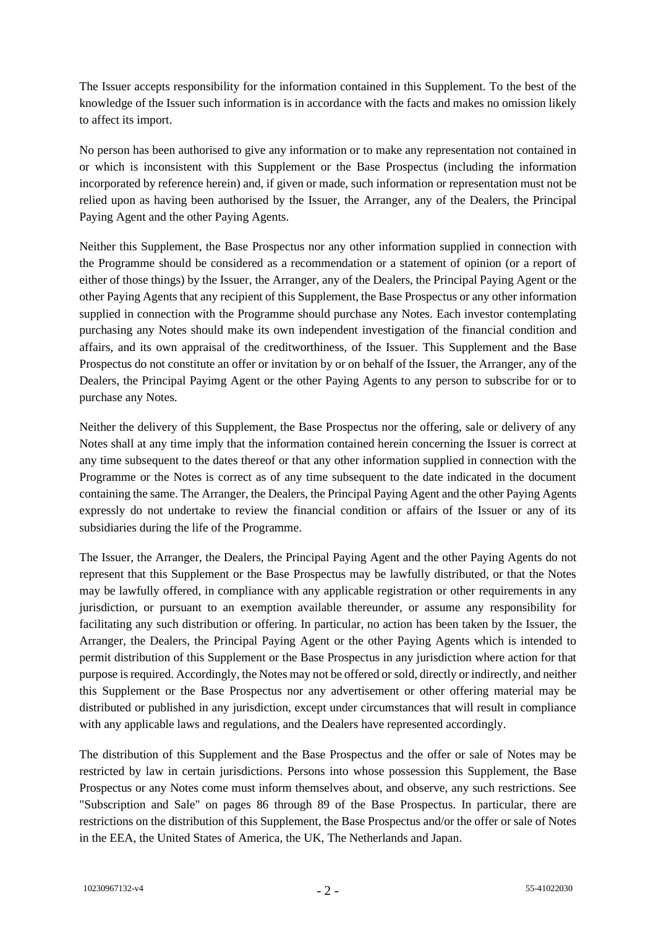The Issuer accepts responsibility for the information contained in this Supplement. To the best of the knowledge of the Issuer such information is in accordance with the facts and makes no omission likely to affect its import.

No person has been authorised to give any information or to make any representation not contained in or which is inconsistent with this Supplement or the Base Prospectus (including the information incorporated by reference herein) and, if given or made, such information or representation must not be relied upon as having been authorised by the Issuer, the Arranger, any of the Dealers, the Principal Paying Agent and the other Paying Agents.

Neither this Supplement, the Base Prospectus nor any other information supplied in connection with the Programme should be considered as a recommendation or a statement of opinion (or a report of either of those things) by the Issuer, the Arranger, any of the Dealers, the Principal Paying Agent or the other Paying Agents that any recipient of this Supplement, the Base Prospectus or any other information supplied in connection with the Programme should purchase any Notes. Each investor contemplating purchasing any Notes should make its own independent investigation of the financial condition and affairs, and its own appraisal of the creditworthiness, of the Issuer. This Supplement and the Base Prospectus do not constitute an offer or invitation by or on behalf of the Issuer, the Arranger, any of the Dealers, the Principal Payimg Agent or the other Paying Agents to any person to subscribe for or to purchase any Notes.

Neither the delivery of this Supplement, the Base Prospectus nor the offering, sale or delivery of any Notes shall at any time imply that the information contained herein concerning the Issuer is correct at any time subsequent to the dates thereof or that any other information supplied in connection with the Programme or the Notes is correct as of any time subsequent to the date indicated in the document containing the same. The Arranger, the Dealers, the Principal Paying Agent and the other Paying Agents expressly do not undertake to review the financial condition or affairs of the Issuer or any of its subsidiaries during the life of the Programme.

The Issuer, the Arranger, the Dealers, the Principal Paying Agent and the other Paying Agents do not represent that this Supplement or the Base Prospectus may be lawfully distributed, or that the Notes may be lawfully offered, in compliance with any applicable registration or other requirements in any jurisdiction, or pursuant to an exemption available thereunder, or assume any responsibility for facilitating any such distribution or offering. In particular, no action has been taken by the Issuer, the Arranger, the Dealers, the Principal Paying Agent or the other Paying Agents which is intended to permit distribution of this Supplement or the Base Prospectus in any jurisdiction where action for that purpose is required. Accordingly, the Notes may not be offered or sold, directly or indirectly, and neither this Supplement or the Base Prospectus nor any advertisement or other offering material may be distributed or published in any jurisdiction, except under circumstances that will result in compliance with any applicable laws and regulations, and the Dealers have represented accordingly.

The distribution of this Supplement and the Base Prospectus and the offer or sale of Notes may be restricted by law in certain jurisdictions. Persons into whose possession this Supplement, the Base Prospectus or any Notes come must inform themselves about, and observe, any such restrictions. See "Subscription and Sale" on pages 86 through 89 of the Base Prospectus. In particular, there are restrictions on the distribution of this Supplement, the Base Prospectus and/or the offer or sale of Notes in the EEA, the United States of America, the UK, The Netherlands and Japan.